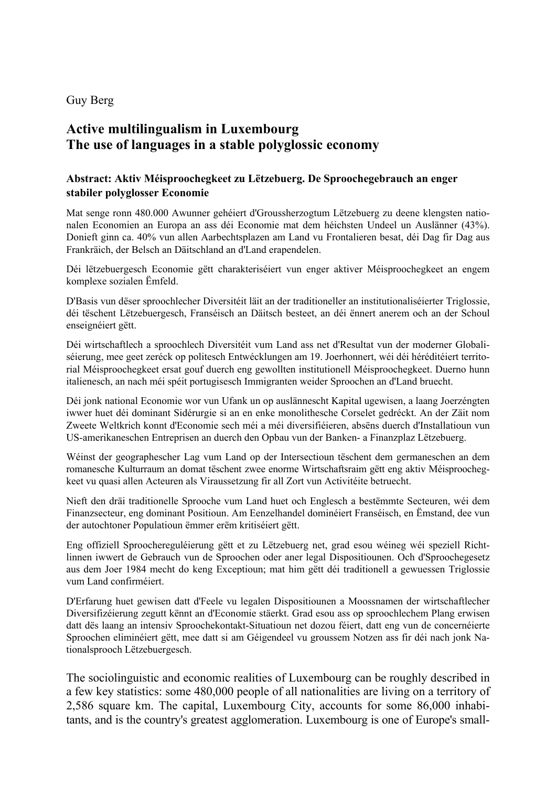Guy Berg

## **Active multilingualism in Luxembourg The use of languages in a stable polyglossic economy**

## **Abstract: Aktiv Méisproochegkeet zu Lëtzebuerg. De Sproochegebrauch an enger stabiler polyglosser Economie**

Mat senge ronn 480.000 Awunner gehéiert d'Groussherzogtum Lëtzebuerg zu deene klengsten nationalen Economien an Europa an ass déi Economie mat dem héichsten Undeel un Auslänner (43%). Donieft ginn ca. 40% vun allen Aarbechtsplazen am Land vu Frontalieren besat, déi Dag fir Dag aus Frankräich, der Belsch an Däitschland an d'Land erapendelen.

Déi lëtzebuergesch Economie gëtt charakteriséiert vun enger aktiver Méisproochegkeet an engem komplexe sozialen Ëmfeld.

D'Basis vun dëser sproochlecher Diversitéit läit an der traditioneller an institutionaliséierter Triglossie, déi tëschent Lëtzebuergesch, Franséisch an Däitsch besteet, an déi ënnert anerem och an der Schoul enseignéiert gëtt.

Déi wirtschaftlech a sproochlech Diversitéit vum Land ass net d'Resultat vun der moderner Globaliséierung, mee geet zeréck op politesch Entwécklungen am 19. Joerhonnert, wéi déi héréditéiert territorial Méisproochegkeet ersat gouf duerch eng gewollten institutionell Méisproochegkeet. Duerno hunn italienesch, an nach méi spéit portugisesch Immigranten weider Sproochen an d'Land bruecht.

Déi jonk national Economie wor vun Ufank un op auslännescht Kapital ugewisen, a laang Joerzéngten iwwer huet déi dominant Sidérurgie si an en enke monolithesche Corselet gedréckt. An der Zäit nom Zweete Weltkrich konnt d'Economie sech méi a méi diversifiéieren, absëns duerch d'Installatioun vun US-amerikaneschen Entreprisen an duerch den Opbau vun der Banken- a Finanzplaz Lëtzebuerg.

Wéinst der geographescher Lag vum Land op der Intersectioun tëschent dem germaneschen an dem romanesche Kulturraum an domat tëschent zwee enorme Wirtschaftsraim gëtt eng aktiv Méisproochegkeet vu quasi allen Acteuren als Viraussetzung fir all Zort vun Activitéite betruecht.

Nieft den dräi traditionelle Sprooche vum Land huet och Englesch a bestëmmte Secteuren, wéi dem Finanzsecteur, eng dominant Positioun. Am Eenzelhandel dominéiert Franséisch, en Ëmstand, dee vun der autochtoner Populatioun ëmmer erëm kritiséiert gëtt.

Eng offiziell Sproochereguléierung gëtt et zu Lëtzebuerg net, grad esou wéineg wéi speziell Richtlinnen iwwert de Gebrauch vun de Sproochen oder aner legal Dispositiounen. Och d'Sproochegesetz aus dem Joer 1984 mecht do keng Exceptioun; mat him gëtt déi traditionell a gewuessen Triglossie vum Land confirméiert.

D'Erfarung huet gewisen datt d'Feele vu legalen Dispositiounen a Moossnamen der wirtschaftlecher Diversifizéierung zegutt kënnt an d'Economie stäerkt. Grad esou ass op sproochlechem Plang erwisen datt dës laang an intensiv Sproochekontakt-Situatioun net dozou féiert, datt eng vun de concernéierte Sproochen eliminéiert gëtt, mee datt si am Géigendeel vu groussem Notzen ass fir déi nach jonk Nationalsprooch Lëtzebuergesch.

The sociolinguistic and economic realities of Luxembourg can be roughly described in a few key statistics: some 480,000 people of all nationalities are living on a territory of 2,586 square km. The capital, Luxembourg City, accounts for some 86,000 inhabitants, and is the country's greatest agglomeration. Luxembourg is one of Europe's small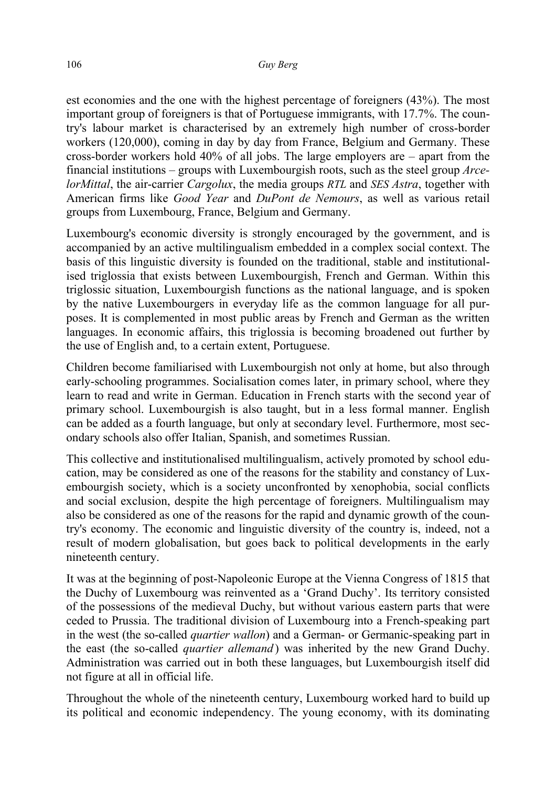est economies and the one with the highest percentage of foreigners (43%). The most important group of foreigners is that of Portuguese immigrants, with 17.7%. The country's labour market is characterised by an extremely high number of cross-border workers (120,000), coming in day by day from France, Belgium and Germany. These cross-border workers hold 40% of all jobs. The large employers are – apart from the financial institutions – groups with Luxembourgish roots, such as the steel group *ArcelorMittal*, the air-carrier *Cargolux*, the media groups *RTL* and *SES Astra*, together with American firms like *Good Year* and *DuPont de Nemours*, as well as various retail groups from Luxembourg, France, Belgium and Germany.

Luxembourg's economic diversity is strongly encouraged by the government, and is accompanied by an active multilingualism embedded in a complex social context. The basis of this linguistic diversity is founded on the traditional, stable and institutionalised triglossia that exists between Luxembourgish, French and German. Within this triglossic situation, Luxembourgish functions as the national language, and is spoken by the native Luxembourgers in everyday life as the common language for all purposes. It is complemented in most public areas by French and German as the written languages. In economic affairs, this triglossia is becoming broadened out further by the use of English and, to a certain extent, Portuguese.

Children become familiarised with Luxembourgish not only at home, but also through early-schooling programmes. Socialisation comes later, in primary school, where they learn to read and write in German. Education in French starts with the second year of primary school. Luxembourgish is also taught, but in a less formal manner. English can be added as a fourth language, but only at secondary level. Furthermore, most secondary schools also offer Italian, Spanish, and sometimes Russian.

This collective and institutionalised multilingualism, actively promoted by school education, may be considered as one of the reasons for the stability and constancy of Luxembourgish society, which is a society unconfronted by xenophobia, social conflicts and social exclusion, despite the high percentage of foreigners. Multilingualism may also be considered as one of the reasons for the rapid and dynamic growth of the country's economy. The economic and linguistic diversity of the country is, indeed, not a result of modern globalisation, but goes back to political developments in the early nineteenth century.

It was at the beginning of post-Napoleonic Europe at the Vienna Congress of 1815 that the Duchy of Luxembourg was reinvented as a 'Grand Duchy'. Its territory consisted of the possessions of the medieval Duchy, but without various eastern parts that were ceded to Prussia. The traditional division of Luxembourg into a French-speaking part in the west (the so-called *quartier wallon*) and a German- or Germanic-speaking part in the east (the so-called *quartier allemand* ) was inherited by the new Grand Duchy. Administration was carried out in both these languages, but Luxembourgish itself did not figure at all in official life.

Throughout the whole of the nineteenth century, Luxembourg worked hard to build up its political and economic independency. The young economy, with its dominating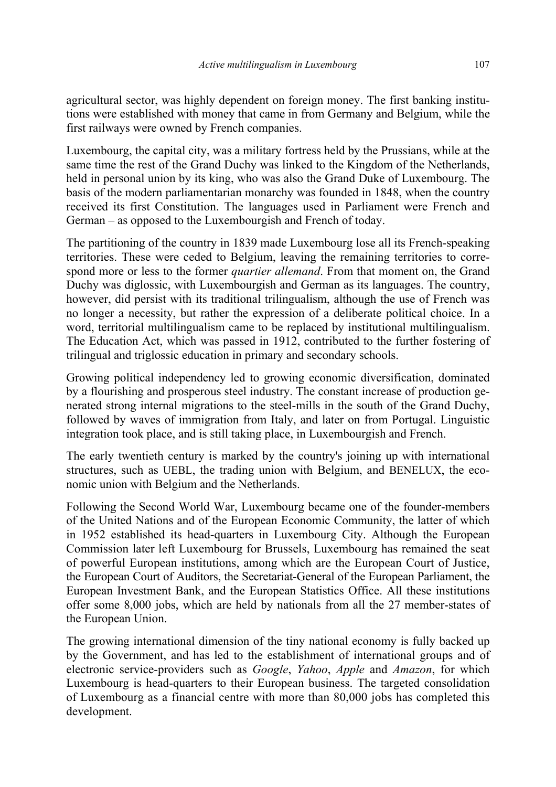agricultural sector, was highly dependent on foreign money. The first banking institutions were established with money that came in from Germany and Belgium, while the first railways were owned by French companies.

Luxembourg, the capital city, was a military fortress held by the Prussians, while at the same time the rest of the Grand Duchy was linked to the Kingdom of the Netherlands, held in personal union by its king, who was also the Grand Duke of Luxembourg. The basis of the modern parliamentarian monarchy was founded in 1848, when the country received its first Constitution. The languages used in Parliament were French and German – as opposed to the Luxembourgish and French of today.

The partitioning of the country in 1839 made Luxembourg lose all its French-speaking territories. These were ceded to Belgium, leaving the remaining territories to correspond more or less to the former *quartier allemand*. From that moment on, the Grand Duchy was diglossic, with Luxembourgish and German as its languages. The country, however, did persist with its traditional trilingualism, although the use of French was no longer a necessity, but rather the expression of a deliberate political choice. In a word, territorial multilingualism came to be replaced by institutional multilingualism. The Education Act, which was passed in 1912, contributed to the further fostering of trilingual and triglossic education in primary and secondary schools.

Growing political independency led to growing economic diversification, dominated by a flourishing and prosperous steel industry. The constant increase of production generated strong internal migrations to the steel-mills in the south of the Grand Duchy, followed by waves of immigration from Italy, and later on from Portugal. Linguistic integration took place, and is still taking place, in Luxembourgish and French.

The early twentieth century is marked by the country's joining up with international structures, such as UEBL, the trading union with Belgium, and BENELUX, the economic union with Belgium and the Netherlands.

Following the Second World War, Luxembourg became one of the founder-members of the United Nations and of the European Economic Community, the latter of which in 1952 established its head-quarters in Luxembourg City. Although the European Commission later left Luxembourg for Brussels, Luxembourg has remained the seat of powerful European institutions, among which are the European Court of Justice, the European Court of Auditors, the Secretariat-General of the European Parliament, the European Investment Bank, and the European Statistics Office. All these institutions offer some 8,000 jobs, which are held by nationals from all the 27 member-states of the European Union.

The growing international dimension of the tiny national economy is fully backed up by the Government, and has led to the establishment of international groups and of electronic service-providers such as *Google*, *Yahoo*, *Apple* and *Amazon*, for which Luxembourg is head-quarters to their European business. The targeted consolidation of Luxembourg as a financial centre with more than 80,000 jobs has completed this development.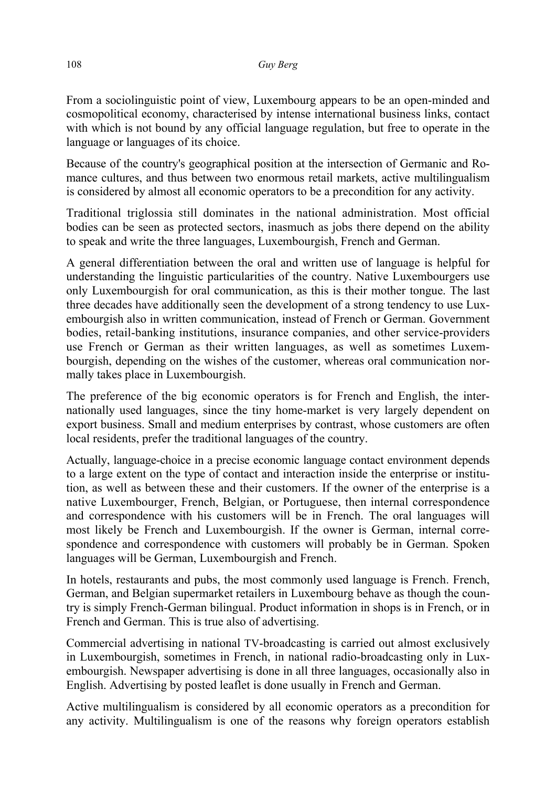From a sociolinguistic point of view, Luxembourg appears to be an open-minded and cosmopolitical economy, characterised by intense international business links, contact with which is not bound by any official language regulation, but free to operate in the language or languages of its choice.

Because of the country's geographical position at the intersection of Germanic and Romance cultures, and thus between two enormous retail markets, active multilingualism is considered by almost all economic operators to be a precondition for any activity.

Traditional triglossia still dominates in the national administration. Most official bodies can be seen as protected sectors, inasmuch as jobs there depend on the ability to speak and write the three languages, Luxembourgish, French and German.

A general differentiation between the oral and written use of language is helpful for understanding the linguistic particularities of the country. Native Luxembourgers use only Luxembourgish for oral communication, as this is their mother tongue. The last three decades have additionally seen the development of a strong tendency to use Luxembourgish also in written communication, instead of French or German. Government bodies, retail-banking institutions, insurance companies, and other service-providers use French or German as their written languages, as well as sometimes Luxembourgish, depending on the wishes of the customer, whereas oral communication normally takes place in Luxembourgish.

The preference of the big economic operators is for French and English, the internationally used languages, since the tiny home-market is very largely dependent on export business. Small and medium enterprises by contrast, whose customers are often local residents, prefer the traditional languages of the country.

Actually, language-choice in a precise economic language contact environment depends to a large extent on the type of contact and interaction inside the enterprise or institution, as well as between these and their customers. If the owner of the enterprise is a native Luxembourger, French, Belgian, or Portuguese, then internal correspondence and correspondence with his customers will be in French. The oral languages will most likely be French and Luxembourgish. If the owner is German, internal correspondence and correspondence with customers will probably be in German. Spoken languages will be German, Luxembourgish and French.

In hotels, restaurants and pubs, the most commonly used language is French. French, German, and Belgian supermarket retailers in Luxembourg behave as though the country is simply French-German bilingual. Product information in shops is in French, or in French and German. This is true also of advertising.

Commercial advertising in national TV-broadcasting is carried out almost exclusively in Luxembourgish, sometimes in French, in national radio-broadcasting only in Luxembourgish. Newspaper advertising is done in all three languages, occasionally also in English. Advertising by posted leaflet is done usually in French and German.

Active multilingualism is considered by all economic operators as a precondition for any activity. Multilingualism is one of the reasons why foreign operators establish